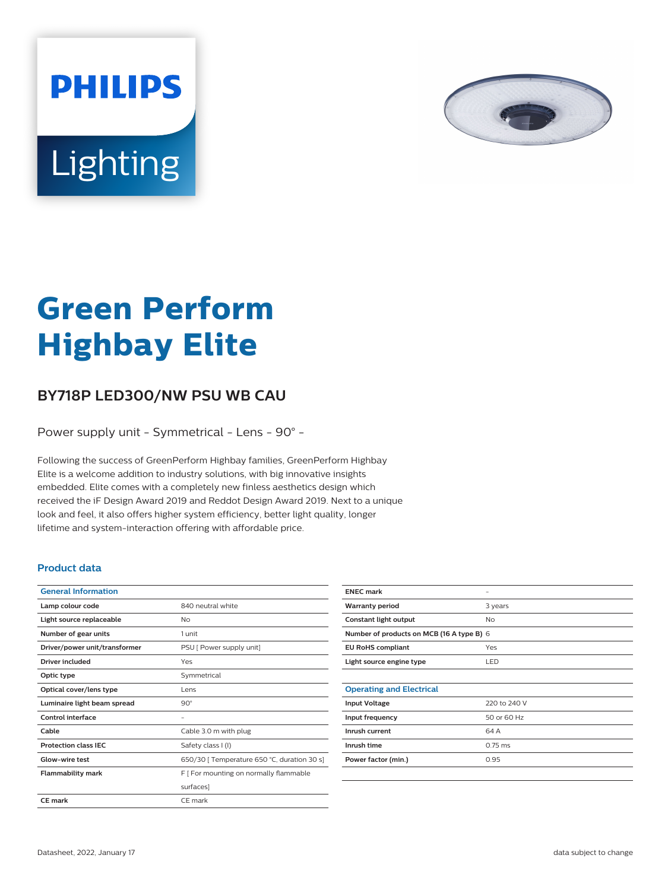



# **Green Perform Highbay Elite**

## **BY718P LED300/NW PSU WB CAU**

Power supply unit - Symmetrical - Lens - 90° -

Following the success of GreenPerform Highbay families, GreenPerform Highbay Elite is a welcome addition to industry solutions, with big innovative insights embedded. Elite comes with a completely new finless aesthetics design which received the iF Design Award 2019 and Reddot Design Award 2019. Next to a unique look and feel, it also offers higher system efficiency, better light quality, longer lifetime and system-interaction offering with affordable price.

#### **Product data**

| <b>General Information</b>    |                                             |
|-------------------------------|---------------------------------------------|
| Lamp colour code              | 840 neutral white                           |
| Light source replaceable      | Nο                                          |
| Number of gear units          | 1 unit                                      |
| Driver/power unit/transformer | PSU [ Power supply unit]                    |
| Driver included               | Yes                                         |
| Optic type                    | Symmetrical                                 |
| Optical cover/lens type       | Lens                                        |
| Luminaire light beam spread   | $90^\circ$                                  |
| Control interface             |                                             |
| Cable                         | Cable 3.0 m with plug                       |
| <b>Protection class IEC</b>   | Safety class I (I)                          |
| Glow-wire test                | 650/30   Temperature 650 °C, duration 30 s] |
| <b>Flammability mark</b>      | F   For mounting on normally flammable      |
|                               | surfaces]                                   |
| <b>CE mark</b>                | CE mark                                     |

| <b>ENEC mark</b>                          |              |  |
|-------------------------------------------|--------------|--|
| <b>Warranty period</b>                    | 3 years      |  |
| Constant light output                     | No           |  |
| Number of products on MCB (16 A type B) 6 |              |  |
| <b>EU RoHS compliant</b>                  | Yes          |  |
| Light source engine type                  | LED          |  |
|                                           |              |  |
| <b>Operating and Electrical</b>           |              |  |
| <b>Input Voltage</b>                      | 220 to 240 V |  |
| Input frequency                           | 50 or 60 Hz  |  |
| Inrush current                            | 64 A         |  |
| Inrush time                               | $0.75$ ms    |  |
| Power factor (min.)                       | 0.95         |  |
|                                           |              |  |